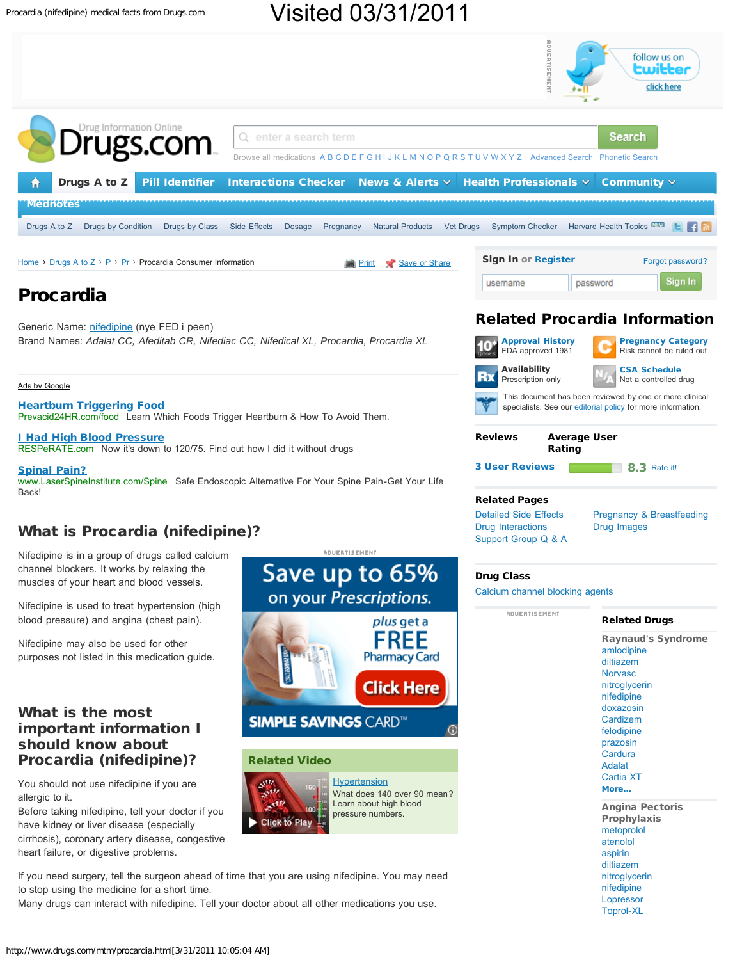

# Visited 03/31/2011



[nifedipine](http://www.drugs.com/cdi/nifedipine.html) [Lopressor](http://www.drugs.com/cdi/lopressor.html) [Toprol-XL](http://www.drugs.com/toprol.html)

If you need surgery, tell the surgeon ahead of time that you are using nifedipine. You may need to stop using the medicine for a short time.

Many drugs can interact with nifedipine. Tell your doctor about all other medications you use.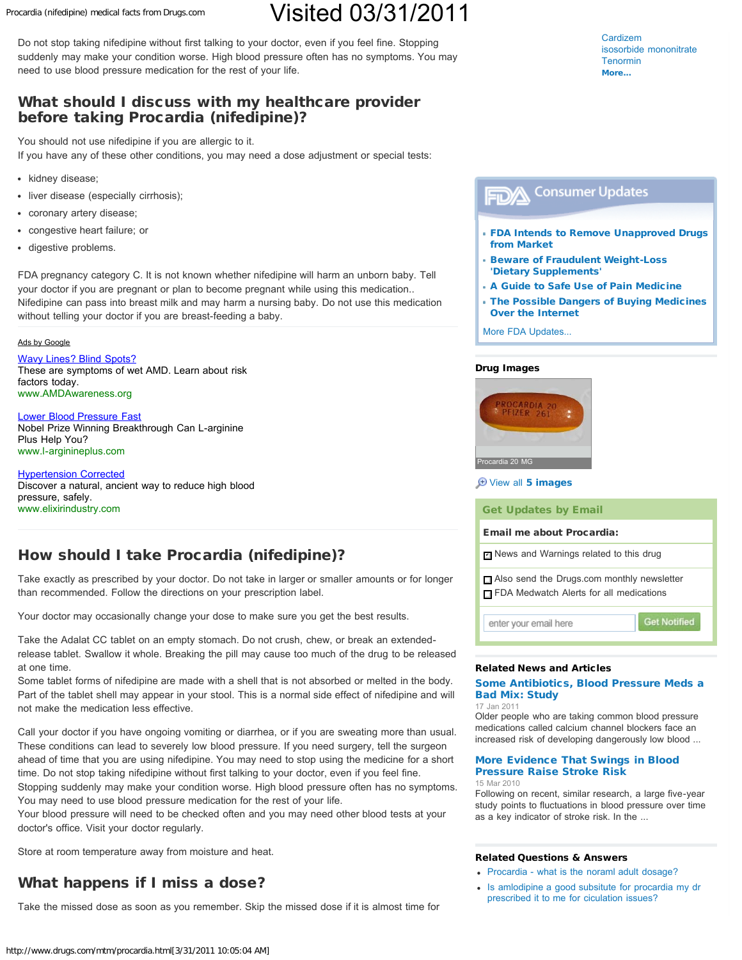Procardia (nifedipine) medical facts from Drugs.com

# Visited 03/31/2011

Do not stop taking nifedipine without first talking to your doctor, even if you feel fine. Stopping suddenly may make your condition worse. High blood pressure often has no symptoms. You may need to use blood pressure medication for the rest of your life.

### What should I discuss with my healthcare provider before taking Procardia (nifedipine)?

You should not use nifedipine if you are allergic to it.

If you have any of these other conditions, you may need a dose adjustment or special tests:

- kidney disease;
- liver disease (especially cirrhosis);
- coronary artery disease;
- congestive heart failure; or
- digestive problems.

FDA pregnancy category C. It is not known whether nifedipine will harm an unborn baby. Tell your doctor if you are pregnant or plan to become pregnant while using this medication.. Nifedipine can pass into breast milk and may harm a nursing baby. Do not use this medication without telling your doctor if you are breast-feeding a baby.

### [Ads by Google](http://www.google.com/url?ct=abg&q=https://www.google.com/adsense/support/bin/request.py%3Fcontact%3Dabg_afc%26url%3Dhttp://www.drugs.com/mtm/procardia.html%26hl%3Den%26client%3Dca-pub-3964816748264478%26adU%3Dwww.AMDAwareness.org%26adT%3DWavy%2BLines%253F%2BBlind%2BSpots%253F%26adU%3Dwww.l-arginineplus.com%26adT%3DLower%2BBlood%2BPressure%2BFast%26adU%3Dwww.elixirindustry.com%26adT%3DHypertension%2BCorrected%26gl%3DUS&usg=AFQjCNHo1KTRfSI3V59ts1HFpWqQbk8RmA)

[Wavy Lines? Blind Spots?](http://googleads.g.doubleclick.net/aclk?sa=L&ai=B-KphEZiUTdC4OMivqwGyvJSfBPv8gPcBm_yMhRbJg8u_BqClexABGAEgzMf0ASgDOABQiPnBh_n_____AWDJhv-H8KPsErIBDXd3dy5kcnVncy5jb23IAQHaASdodHRwOi8vd3d3LmRydWdzLmNvbS9tdG0vcHJvY2FyZGlhLmh0bWyAAgHIAvuI4hSoAwHoA4YF6AMt9QMAAABE&num=1&sig=AGiWqtxrHqh5mr2Lp7VT1C0p5lULTncosw&client=ca-pub-3964816748264478&adurl=http://www.amdawareness.org/asrs/%3Fs_cid%3D0001%26s_src%3Dgoogleppc) These are symptoms of wet AMD. Learn about risk factors today. [www.AMDAwareness.org](http://googleads.g.doubleclick.net/aclk?sa=L&ai=B-KphEZiUTdC4OMivqwGyvJSfBPv8gPcBm_yMhRbJg8u_BqClexABGAEgzMf0ASgDOABQiPnBh_n_____AWDJhv-H8KPsErIBDXd3dy5kcnVncy5jb23IAQHaASdodHRwOi8vd3d3LmRydWdzLmNvbS9tdG0vcHJvY2FyZGlhLmh0bWyAAgHIAvuI4hSoAwHoA4YF6AMt9QMAAABE&num=1&sig=AGiWqtxrHqh5mr2Lp7VT1C0p5lULTncosw&client=ca-pub-3964816748264478&adurl=http://www.amdawareness.org/asrs/%3Fs_cid%3D0001%26s_src%3Dgoogleppc)

### [Lower Blood Pressure Fast](http://googleads.g.doubleclick.net/aclk?sa=l&ai=BYonUEZiUTdC4OMivqwGyvJSfBNyco4kCpJy12hPAjbcB0PhaEAIYAiDMx_QBKAM4AFDt4fTR-P____8BYMmG_4fwo-wSoAHc6sLlA7IBDXd3dy5kcnVncy5jb23IAQHaASdodHRwOi8vd3d3LmRydWdzLmNvbS9tdG0vcHJvY2FyZGlhLmh0bWyAAgHQAgGoAwHoA4YF6AMt9QMAAABE&num=2&sig=AGiWqtzyuCsD9mWciSULUmX_-G7GC7uwtw&client=ca-pub-3964816748264478&adurl=http://www.l-arginineplus.com)

Nobel Prize Winning Breakthrough Can L-arginine Plus Help You? [www.l-arginineplus.com](http://googleads.g.doubleclick.net/aclk?sa=l&ai=BYonUEZiUTdC4OMivqwGyvJSfBNyco4kCpJy12hPAjbcB0PhaEAIYAiDMx_QBKAM4AFDt4fTR-P____8BYMmG_4fwo-wSoAHc6sLlA7IBDXd3dy5kcnVncy5jb23IAQHaASdodHRwOi8vd3d3LmRydWdzLmNvbS9tdG0vcHJvY2FyZGlhLmh0bWyAAgHQAgGoAwHoA4YF6AMt9QMAAABE&num=2&sig=AGiWqtzyuCsD9mWciSULUmX_-G7GC7uwtw&client=ca-pub-3964816748264478&adurl=http://www.l-arginineplus.com)

[Hypertension Corrected](http://googleads.g.doubleclick.net/aclk?sa=l&ai=B3jl4EZiUTdC4OMivqwGyvJSfBNyr_YACwsb2-w6W5-iwBJDWJxADGAMgzMf0ASgDOABQ_o7yx_j_____AWDJhv-H8KPsEqABh9G__wOyAQ13d3cuZHJ1Z3MuY29tyAEB2gEnaHR0cDovL3d3dy5kcnVncy5jb20vbXRtL3Byb2NhcmRpYS5odG1sqAMB6AOGBegDLfUDAAAARA&num=3&sig=AGiWqtyo0m-otHSDypmkSgQMn5E05XVASg&client=ca-pub-3964816748264478&adurl=http://www.elixirindustry.com/marvlix/heart-health.htm) Discover a natural, ancient way to reduce high blood pressure, safely. [www.elixirindustry.com](http://googleads.g.doubleclick.net/aclk?sa=l&ai=B3jl4EZiUTdC4OMivqwGyvJSfBNyr_YACwsb2-w6W5-iwBJDWJxADGAMgzMf0ASgDOABQ_o7yx_j_____AWDJhv-H8KPsEqABh9G__wOyAQ13d3cuZHJ1Z3MuY29tyAEB2gEnaHR0cDovL3d3dy5kcnVncy5jb20vbXRtL3Byb2NhcmRpYS5odG1sqAMB6AOGBegDLfUDAAAARA&num=3&sig=AGiWqtyo0m-otHSDypmkSgQMn5E05XVASg&client=ca-pub-3964816748264478&adurl=http://www.elixirindustry.com/marvlix/heart-health.htm)

## How should I take Procardia (nifedipine)?

Take exactly as prescribed by your doctor. Do not take in larger or smaller amounts or for longer than recommended. Follow the directions on your prescription label.

Your doctor may occasionally change your dose to make sure you get the best results.

Take the Adalat CC tablet on an empty stomach. Do not crush, chew, or break an extendedrelease tablet. Swallow it whole. Breaking the pill may cause too much of the drug to be released at one time.

Some tablet forms of nifedipine are made with a shell that is not absorbed or melted in the body. Part of the tablet shell may appear in your stool. This is a normal side effect of nifedipine and will not make the medication less effective.

Call your doctor if you have ongoing vomiting or diarrhea, or if you are sweating more than usual. These conditions can lead to severely low blood pressure. If you need surgery, tell the surgeon ahead of time that you are using nifedipine. You may need to stop using the medicine for a short time. Do not stop taking nifedipine without first talking to your doctor, even if you feel fine.

Stopping suddenly may make your condition worse. High blood pressure often has no symptoms. You may need to use blood pressure medication for the rest of your life.

Your blood pressure will need to be checked often and you may need other blood tests at your doctor's office. Visit your doctor regularly.

Store at room temperature away from moisture and heat.

# What happens if I miss a dose?

Take the missed dose as soon as you remember. Skip the missed dose if it is almost time for

[Cardizem](http://www.drugs.com/cdi/cardizem.html) [isosorbide mononitrate](http://www.drugs.com/isosorbide_mononitrate.html) [Tenormin](http://www.drugs.com/tenormin.html) [More...](http://www.drugs.com/condition/angina-pectoris-prophylaxis.html)

#### **Consumer Updates** FDA

- [FDA Intends to Remove Unapproved Drugs](http://www.drugs.com/fda-consumer/fda-intends-to-remove-unapproved-drugs-from-market-174.html) [from Market](http://www.drugs.com/fda-consumer/fda-intends-to-remove-unapproved-drugs-from-market-174.html)
- [Beware of Fraudulent Weight-Loss](http://www.drugs.com/fda-consumer/beware-of-fraudulent-weight-loss-dietary-supplements-176.html) ['Dietary Supplements'](http://www.drugs.com/fda-consumer/beware-of-fraudulent-weight-loss-dietary-supplements-176.html)
- [A Guide to Safe Use of Pain Medicine](http://www.drugs.com/fda-consumer/a-guide-to-safe-use-of-pain-medicine-77.html)
- [The Possible Dangers of Buying Medicines](http://www.drugs.com/fda-consumer/the-possible-dangers-of-buying-medicines-over-the-internet-63.html) [Over the Internet](http://www.drugs.com/fda-consumer/the-possible-dangers-of-buying-medicines-over-the-internet-63.html)

[More FDA Updates...](http://www.drugs.com/fda-consumer/)

### Drug Images



### $\bigoplus$  [View all](http://www.drugs.com/procardia-images.html) [5 images](http://www.drugs.com/procardia-images.html)

Get Updates by Email

### Email me about Procardia:

**Ø** News and Warnings related to this drug

Also send the Drugs.com monthly newsletter FDA Medwatch Alerts for all medications

enter your email here

### **Get Notified**

### Related News and Articles

### [Some Antibiotics, Blood Pressure Meds a](http://www.drugs.com/news/some-antibiotics-blood-pressure-meds-bad-mix-study-28941.html) [Bad Mix: Study](http://www.drugs.com/news/some-antibiotics-blood-pressure-meds-bad-mix-study-28941.html)

17 Jan 2011

Older people who are taking common blood pressure medications called calcium channel blockers face an increased risk of developing dangerously low blood ...

#### [More Evidence That Swings in Blood](http://www.drugs.com/news/more-evidence-swings-blood-pressure-raise-stroke-risk-23196.html) [Pressure Raise Stroke Risk](http://www.drugs.com/news/more-evidence-swings-blood-pressure-raise-stroke-risk-23196.html) 15 Mar 2010

Following on recent, similar research, a large five-year study points to fluctuations in blood pressure over time as a key indicator of stroke risk. In the ...

### Related Questions & Answers

- [Procardia what is the noraml adult dosage?](http://www.drugs.com/answers/procardia-what-is-the-noraml-adult-doseage-81261.html)
- [Is amlodipine a good subsitute for procardia my dr](http://www.drugs.com/answers/is-amlodipine-a-good-subsitute-for-procardia-my-97332.html) [prescribed it to me for ciculation issues?](http://www.drugs.com/answers/is-amlodipine-a-good-subsitute-for-procardia-my-97332.html)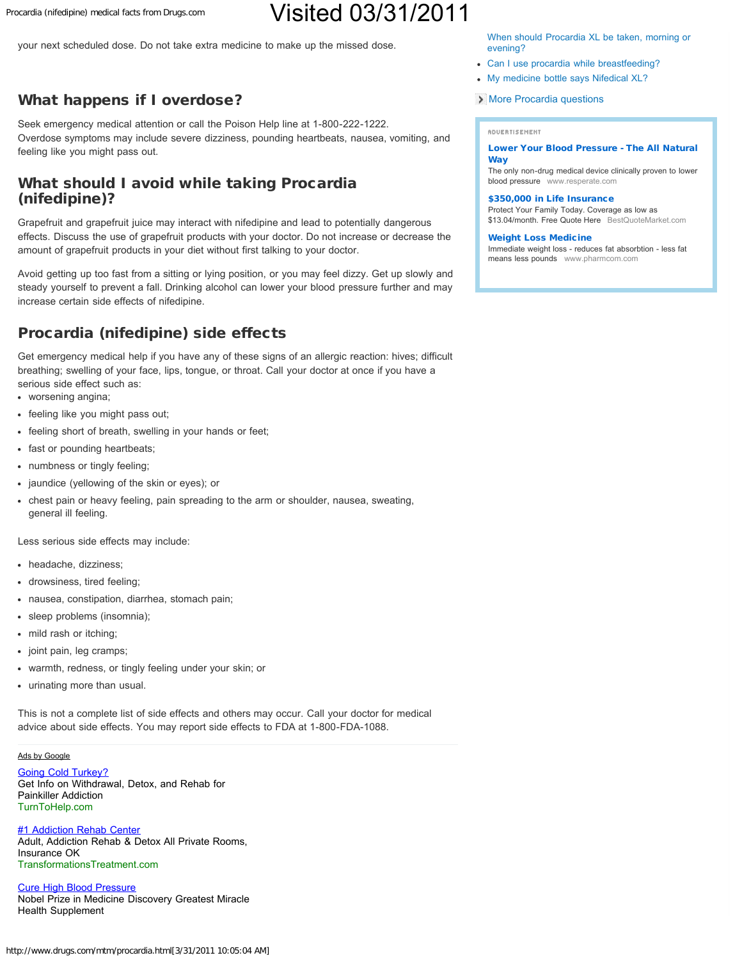Procardia (nifedipine) medical facts from Drugs.com

# Visited 03/31/2011

your next scheduled dose. Do not take extra medicine to make up the missed dose.

## What happens if I overdose?

Seek emergency medical attention or call the Poison Help line at 1-800-222-1222. Overdose symptoms may include severe dizziness, pounding heartbeats, nausea, vomiting, and feeling like you might pass out.

## What should I avoid while taking Procardia (nifedipine)?

Grapefruit and grapefruit juice may interact with nifedipine and lead to potentially dangerous effects. Discuss the use of grapefruit products with your doctor. Do not increase or decrease the amount of grapefruit products in your diet without first talking to your doctor.

Avoid getting up too fast from a sitting or lying position, or you may feel dizzy. Get up slowly and steady yourself to prevent a fall. Drinking alcohol can lower your blood pressure further and may increase certain side effects of nifedipine.

## Procardia (nifedipine) side effects

Get emergency medical help if you have any of these signs of an allergic reaction: hives; difficult breathing; swelling of your face, lips, tongue, or throat. Call your doctor at once if you have a serious side effect such as:

- worsening angina;
- feeling like you might pass out;
- feeling short of breath, swelling in your hands or feet;
- fast or pounding heartbeats;
- numbness or tingly feeling;
- jaundice (yellowing of the skin or eyes); or
- chest pain or heavy feeling, pain spreading to the arm or shoulder, nausea, sweating, general ill feeling.

Less serious side effects may include:

- headache, dizziness;
- drowsiness, tired feeling;
- nausea, constipation, diarrhea, stomach pain;
- $\bullet$ sleep problems (insomnia);
- mild rash or itching;
- joint pain, leg cramps;
- warmth, redness, or tingly feeling under your skin; or
- urinating more than usual.

This is not a complete list of side effects and others may occur. Call your doctor for medical advice about side effects. You may report side effects to FDA at 1-800-FDA-1088.

### [Ads by Google](http://www.google.com/url?ct=abg&q=https://www.google.com/adsense/support/bin/request.py%3Fcontact%3Dabg_afc%26url%3Dhttp://www.drugs.com/mtm/procardia.html%26hl%3Den%26client%3Dca-pub-3964816748264478%26adU%3DTurnToHelp.com%26adT%3DGoing%2BCold%2BTurkey%253F%26adU%3DTransformationsTreatment.com%26adT%3D%25231%2BAddiction%2BRehab%2BCenter%26adU%3Dwww.livingwithoutdisease.com/Heart%26adT%3DCure%2BHigh%2BBlood%2BPressure%26gl%3DUS&usg=AFQjCNFgMkwsIaiTPX9AIgSHuK9JaIuklg)

[Going Cold Turkey?](http://googleads.g.doubleclick.net/aclk?sa=l&ai=B_n9CEpiUTf2EFYz2qgHzuJ3qBIq2uOsB2qfewRLAjbcBsPuiARABGAEgzMf0ASgDOABQxer6swNgyYb_h_Cj7BKgAZTF1v0DsgENd3d3LmRydWdzLmNvbcgBAdoBJ2h0dHA6Ly93d3cuZHJ1Z3MuY29tL210bS9wcm9jYXJkaWEuaHRtbIACAcgC6uOjE6gDAegDhgXoAy31AwAAAEQ&num=1&sig=AGiWqtx8Lu3aRWXXXJBIQkdAqfRhAi67WA&client=ca-pub-3964816748264478&adurl=http://www.turntohelp.com%3Fs_kwcid%3DTC%7C7630%7Cprescription%2520drugs%7Cwww.drugs.com%7CC%7C%7C4871875706) Get Info on Withdrawal, Detox, and Rehab for Painkiller Addiction [TurnToHelp.com](http://googleads.g.doubleclick.net/aclk?sa=l&ai=B_n9CEpiUTf2EFYz2qgHzuJ3qBIq2uOsB2qfewRLAjbcBsPuiARABGAEgzMf0ASgDOABQxer6swNgyYb_h_Cj7BKgAZTF1v0DsgENd3d3LmRydWdzLmNvbcgBAdoBJ2h0dHA6Ly93d3cuZHJ1Z3MuY29tL210bS9wcm9jYXJkaWEuaHRtbIACAcgC6uOjE6gDAegDhgXoAy31AwAAAEQ&num=1&sig=AGiWqtx8Lu3aRWXXXJBIQkdAqfRhAi67WA&client=ca-pub-3964816748264478&adurl=http://www.turntohelp.com%3Fs_kwcid%3DTC%7C7630%7Cprescription%2520drugs%7Cwww.drugs.com%7CC%7C%7C4871875706)

**[#1 Addiction Rehab Center](http://googleads.g.doubleclick.net/aclk?sa=l&ai=BmL8fEpiUTf2EFYz2qgHzuJ3qBMid644CsJOJrxvAjbcBgKLCAhACGAIgzMf0ASgDOABQg6GG9QRgyYb_h_Cj7BKgAcS7iO0DsgENd3d3LmRydWdzLmNvbcgBAdoBJ2h0dHA6Ly93d3cuZHJ1Z3MuY29tL210bS9wcm9jYXJkaWEuaHRtbIACAagDAegDhgXoAy31AwAAAEQ&num=2&sig=AGiWqtwFJJeX0kmwPCjVkjUsdmuLA-3cYA&client=ca-pub-3964816748264478&adurl=http://TransformationsTreatment.com)** Adult, Addiction Rehab & Detox All Private Rooms, Insurance OK [TransformationsTreatment.com](http://googleads.g.doubleclick.net/aclk?sa=l&ai=BmL8fEpiUTf2EFYz2qgHzuJ3qBMid644CsJOJrxvAjbcBgKLCAhACGAIgzMf0ASgDOABQg6GG9QRgyYb_h_Cj7BKgAcS7iO0DsgENd3d3LmRydWdzLmNvbcgBAdoBJ2h0dHA6Ly93d3cuZHJ1Z3MuY29tL210bS9wcm9jYXJkaWEuaHRtbIACAagDAegDhgXoAy31AwAAAEQ&num=2&sig=AGiWqtwFJJeX0kmwPCjVkjUsdmuLA-3cYA&client=ca-pub-3964816748264478&adurl=http://TransformationsTreatment.com)

[Cure High Blood Pressure](http://googleads.g.doubleclick.net/aclk?sa=l&ai=Bl8nCEpiUTf2EFYz2qgHzuJ3qBI-K-4wB96PJ2gvAjbcB4IkcEAMYAyDMx_QBKAM4AFDitOEJYMmG_4fwo-wSoAGdxY7yA7IBDXd3dy5kcnVncy5jb23IAQHaASdodHRwOi8vd3d3LmRydWdzLmNvbS9tdG0vcHJvY2FyZGlhLmh0bWyoAwHoA4YF6AMt9QMAAABE&num=3&sig=AGiWqtz1O6YSZupvF6RYbN0Dea1fProR1A&client=ca-pub-3964816748264478&adurl=http://www.livingwithoutdisease.com) Nobel Prize in Medicine Discovery Greatest Miracle Health Supplement

[When should Procardia XL be taken, morning or](http://www.drugs.com/answers/when-should-procardia-xl-be-taken-morning-or-99185.html) [evening?](http://www.drugs.com/answers/when-should-procardia-xl-be-taken-morning-or-99185.html)

- [Can I use procardia while breastfeeding?](http://www.drugs.com/answers/can-i-use-procardia-while-breastfeeding-146624.html)
- [My medicine bottle says Nifedical XL?](http://www.drugs.com/answers/my-medicine-bottle-says-nifedical-xl-155948.html)

**[More Procardia questions](http://www.drugs.com/answers/support-group/procardia/questions/)** 

#### **ADUERTISEMENT**

#### [Lower Your Blood Pressure - The All Natural](http://ads.drugs.com/click.php?a=5) **[Way](http://ads.drugs.com/click.php?a=5)**

The only non-drug medical device clinically proven to lower blood pressure www.resperate.com

### [\\$350,000 in Life Insurance](http://ads.drugs.com/click.php?a=9)

Protect Your Family Today. Coverage as low as \$13.04/month. Free Quote Here BestQuoteMarket.com

### [Weight Loss Medicine](http://ads.drugs.com/click.php?a=2)

Immediate weight loss - reduces fat absorbtion - less fat means less pounds www.pharmcom.com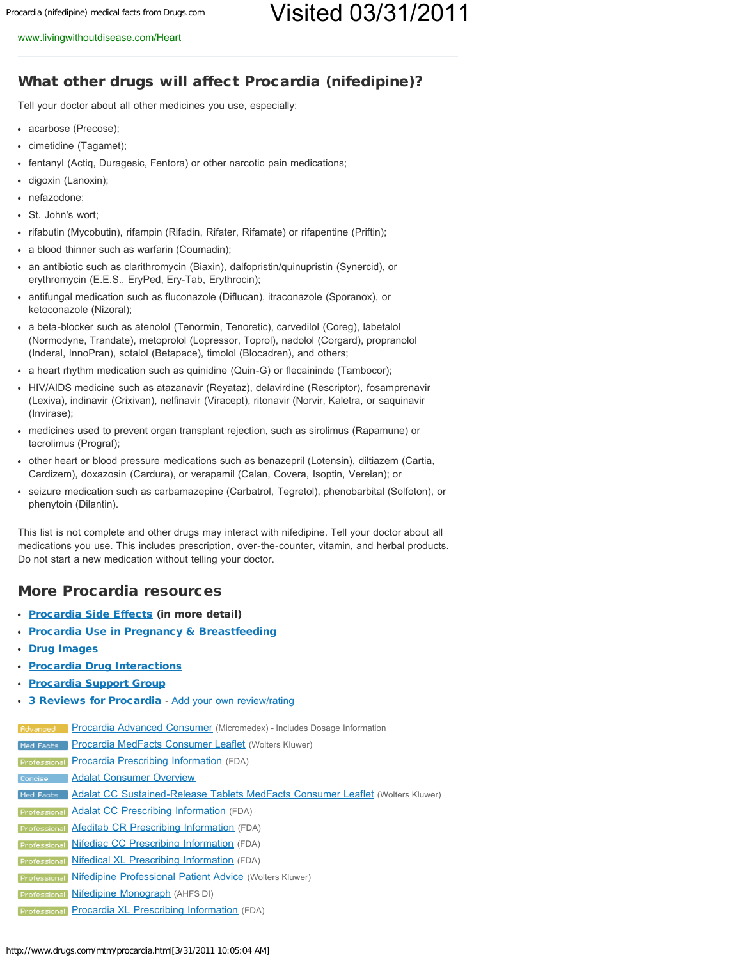### What other drugs will affect Procardia (nifedipine)?

Tell your doctor about all other medicines you use, especially:

- acarbose (Precose);
- cimetidine (Tagamet);
- fentanyl (Actig, Duragesic, Fentora) or other narcotic pain medications;
- digoxin (Lanoxin);
- nefazodone;
- St. John's wort;
- rifabutin (Mycobutin), rifampin (Rifadin, Rifater, Rifamate) or rifapentine (Priftin);
- a blood thinner such as warfarin (Coumadin);
- an antibiotic such as clarithromycin (Biaxin), dalfopristin/quinupristin (Synercid), or erythromycin (E.E.S., EryPed, Ery-Tab, Erythrocin);
- antifungal medication such as fluconazole (Diflucan), itraconazole (Sporanox), or ketoconazole (Nizoral);
- a beta-blocker such as atenolol (Tenormin, Tenoretic), carvedilol (Coreg), labetalol (Normodyne, Trandate), metoprolol (Lopressor, Toprol), nadolol (Corgard), propranolol (Inderal, InnoPran), sotalol (Betapace), timolol (Blocadren), and others;
- a heart rhythm medication such as quinidine (Quin-G) or flecaininde (Tambocor);
- HIV/AIDS medicine such as atazanavir (Reyataz), delavirdine (Rescriptor), fosamprenavir (Lexiva), indinavir (Crixivan), nelfinavir (Viracept), ritonavir (Norvir, Kaletra, or saquinavir (Invirase);
- medicines used to prevent organ transplant rejection, such as sirolimus (Rapamune) or tacrolimus (Prograf);
- other heart or blood pressure medications such as benazepril (Lotensin), diltiazem (Cartia, Cardizem), doxazosin (Cardura), or verapamil (Calan, Covera, Isoptin, Verelan); or
- seizure medication such as carbamazepine (Carbatrol, Tegretol), phenobarbital (Solfoton), or phenytoin (Dilantin).

This list is not complete and other drugs may interact with nifedipine. Tell your doctor about all medications you use. This includes prescription, over-the-counter, vitamin, and herbal products. Do not start a new medication without telling your doctor.

### More Procardia resources

- [Procardia Side Effects](http://www.drugs.com/sfx/procardia-side-effects.html) (in more detail)
- [Procardia Use in Pregnancy & Breastfeeding](http://www.drugs.com/pregnancy/nifedipine.html)
- [Drug Images](http://www.drugs.com/procardia-images.html)
- [Procardia Drug Interactions](http://www.drugs.com/drug-interactions/nifedipine,procardia.html)
- [Procardia Support Group](http://www.drugs.com/answers/support-group/procardia/)
- [3 Reviews for Procardia](http://www.drugs.com/comments/nifedipine/procardia.html) [Add your own review/rating](http://www.drugs.com/members_comments_add.php?ddc_id=1717&brand_name_id=1075)

[Procardia Advanced Consumer](http://www.drugs.com/cons/procardia.html) (Micromedex) - Includes Dosage Information

**Med Facts** [Procardia MedFacts Consumer Leaflet](http://www.drugs.com/cdi/procardia.html) (Wolters Kluwer)

**Professional [Procardia Prescribing Information](http://www.drugs.com/pro/procardia.html)** (FDA)

**Concise [Adalat Consumer Overview](http://www.drugs.com/adalat.html)** 

[Adalat CC Sustained-Release Tablets MedFacts Consumer Leaflet](http://www.drugs.com/cdi/adalat-cc-sustained-release-tablets.html) (Wolters Kluwer)

**Professional [Adalat CC Prescribing Information](http://www.drugs.com/pro/adalat-cc.html)** (FDA)

**Professional [Afeditab CR Prescribing Information](http://www.drugs.com/pro/afeditab-cr.html)** (FDA)

**Professional [Nifediac CC Prescribing Information](http://www.drugs.com/pro/nifediac-cc.html)** (FDA)

**Professional [Nifedical XL Prescribing Information](http://www.drugs.com/pro/nifedical-xl.html)** (FDA)

**Professional [Nifedipine Professional Patient Advice](http://www.drugs.com/ppa/nifedipine.html) (Wolters Kluwer)** 

**Professional [Nifedipine Monograph](http://www.drugs.com/monograph/nifedipine.html) (AHFS DI)** 

Professional [Procardia XL Prescribing Information](http://www.drugs.com/pro/procardia-xl.html) (FDA)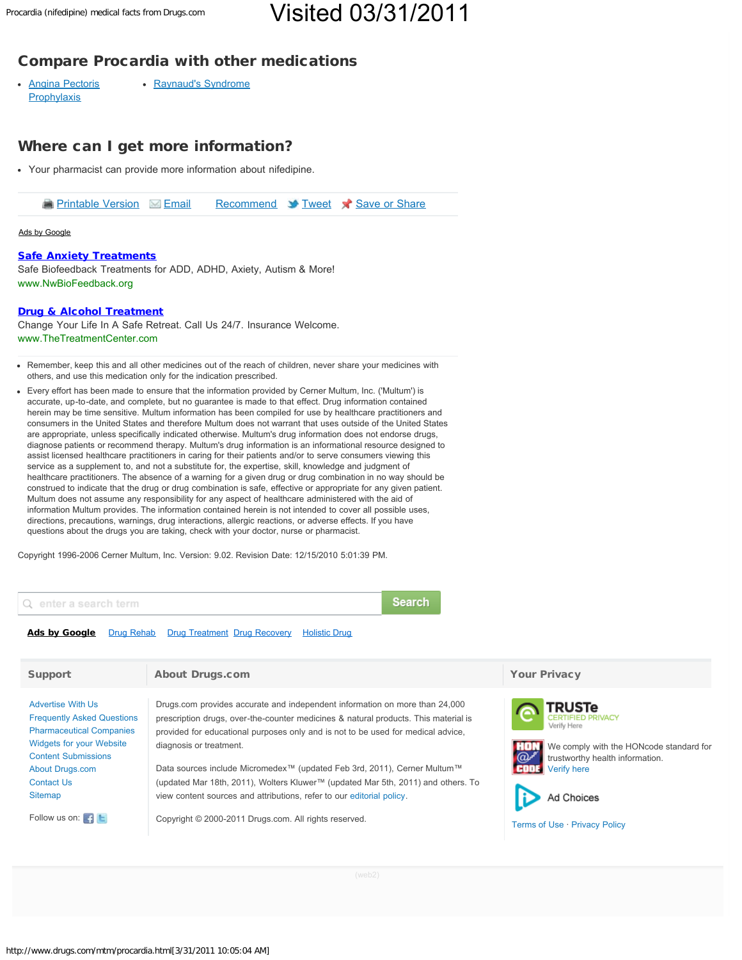## Visited 03/31/2011

## Compare Procardia with other medications

• [Angina Pectoris](http://www.drugs.com/condition/angina-pectoris-prophylaxis.html) **[Prophylaxis](http://www.drugs.com/condition/angina-pectoris-prophylaxis.html)** • [Raynaud's Syndrome](http://www.drugs.com/condition/raynaud-s-syndrome.html)

## Where can I get more information?

Your pharmacist can provide more information about nifedipine.

**[Printable Version](http://www.drugs.com/mtm/procardia.html?printable=1) [Email](javascript:void(0)) [Recommend](http://www.drugs.com/bookmark.html?track=facebook&url=aHR0cDovL3d3dy5kcnVncy5jb20vbXRtL3Byb2NhcmRpYS5odG1s&title=Procardia+%28nifedipine%29+medical+facts+from+Drugs.com) Strucet Struce Share** 

### [Ads by Google](http://www.google.com/url?ct=abg&q=https://www.google.com/adsense/support/bin/request.py%3Fcontact%3Dabg_afc%26url%3Dhttp://www.drugs.com/mtm/procardia.html%26hl%3Den%26client%3Dca-pub-3964816748264478%26adU%3Dwww.NwBioFeedback.org%26adT%3DSafe%2BAnxiety%2BTreatments%26adU%3Dwww.TheTreatmentCenter.com%26adT%3DDrug%2B%2526amp%253B%2BAlcohol%2BTreatment%26gl%3DUS&usg=AFQjCNGm_k8-lbKPkf8VNJeqt1FP6tNGWQ)

### [Safe Anxiety Treatments](http://googleads.g.doubleclick.net/aclk?sa=l&ai=BNy_kEpiUTc70L4ifqwGKp7SMBOn8jOgBwfftphTAjbcBsMaKARABGAEgzMf0ASgCOABQjMWcuwFgyYb_h_Cj7BKgAZejs_sDsgENd3d3LmRydWdzLmNvbcgBAdoBJ2h0dHA6Ly93d3cuZHJ1Z3MuY29tL210bS9wcm9jYXJkaWEuaHRtbIACAagDAegDhgXoAy31AwAAAEQ&num=1&sig=AGiWqtzOu58VOwlPjb7e8qYNOijdrka_wQ&client=ca-pub-3964816748264478&adurl=http://nwbiofeedback.org/)

Safe Biofeedback Treatments for ADD, ADHD, Axiety, Autism & More! [www.NwBioFeedback.org](http://googleads.g.doubleclick.net/aclk?sa=l&ai=BNy_kEpiUTc70L4ifqwGKp7SMBOn8jOgBwfftphTAjbcBsMaKARABGAEgzMf0ASgCOABQjMWcuwFgyYb_h_Cj7BKgAZejs_sDsgENd3d3LmRydWdzLmNvbcgBAdoBJ2h0dHA6Ly93d3cuZHJ1Z3MuY29tL210bS9wcm9jYXJkaWEuaHRtbIACAagDAegDhgXoAy31AwAAAEQ&num=1&sig=AGiWqtzOu58VOwlPjb7e8qYNOijdrka_wQ&client=ca-pub-3964816748264478&adurl=http://nwbiofeedback.org/)

### [Drug & Alcohol Treatment](http://googleads.g.doubleclick.net/aclk?sa=l&ai=BWM4fEpiUTc70L4ifqwGKp7SMBKWC1_4Bzb2_9BnAjbcB4PjrAxACGAIgzMf0ASgCOABQqp7h8gVgyYb_h_Cj7BKgAbfH--0DsgENd3d3LmRydWdzLmNvbcgBAdoBJ2h0dHA6Ly93d3cuZHJ1Z3MuY29tL210bS9wcm9jYXJkaWEuaHRtbIACAagDAegDhgXoAy31AwAAAEQ&num=2&sig=AGiWqty9o7d7K9HDMAJYN5TfkvjQlimPDg&client=ca-pub-3964816748264478&adurl=http://www.thetreatmentcenter.com/alcohol-drug-detox/%3Fmm_campaign%3D2d9c4e5f7937a17aa7c1753b2e9190bc%26keyword%3Ddrug%2520addiction%2520treatment%2520facility%26content%26www.drugs.com%26utm_source%3DGoogle%26utm_medium%3DCPC%26utm_campaign%3DTTC)

Change Your Life In A Safe Retreat. Call Us 24/7. Insurance Welcome. [www.TheTreatmentCenter.com](http://googleads.g.doubleclick.net/aclk?sa=l&ai=BWM4fEpiUTc70L4ifqwGKp7SMBKWC1_4Bzb2_9BnAjbcB4PjrAxACGAIgzMf0ASgCOABQqp7h8gVgyYb_h_Cj7BKgAbfH--0DsgENd3d3LmRydWdzLmNvbcgBAdoBJ2h0dHA6Ly93d3cuZHJ1Z3MuY29tL210bS9wcm9jYXJkaWEuaHRtbIACAagDAegDhgXoAy31AwAAAEQ&num=2&sig=AGiWqty9o7d7K9HDMAJYN5TfkvjQlimPDg&client=ca-pub-3964816748264478&adurl=http://www.thetreatmentcenter.com/alcohol-drug-detox/%3Fmm_campaign%3D2d9c4e5f7937a17aa7c1753b2e9190bc%26keyword%3Ddrug%2520addiction%2520treatment%2520facility%26content%26www.drugs.com%26utm_source%3DGoogle%26utm_medium%3DCPC%26utm_campaign%3DTTC)

- Remember, keep this and all other medicines out of the reach of children, never share your medicines with others, and use this medication only for the indication prescribed.
- Every effort has been made to ensure that the information provided by Cerner Multum, Inc. ('Multum') is accurate, up-to-date, and complete, but no guarantee is made to that effect. Drug information contained herein may be time sensitive. Multum information has been compiled for use by healthcare practitioners and consumers in the United States and therefore Multum does not warrant that uses outside of the United States are appropriate, unless specifically indicated otherwise. Multum's drug information does not endorse drugs, diagnose patients or recommend therapy. Multum's drug information is an informational resource designed to assist licensed healthcare practitioners in caring for their patients and/or to serve consumers viewing this service as a supplement to, and not a substitute for, the expertise, skill, knowledge and judgment of healthcare practitioners. The absence of a warning for a given drug or drug combination in no way should be construed to indicate that the drug or drug combination is safe, effective or appropriate for any given patient. Multum does not assume any responsibility for any aspect of healthcare administered with the aid of information Multum provides. The information contained herein is not intended to cover all possible uses, directions, precautions, warnings, drug interactions, allergic reactions, or adverse effects. If you have questions about the drugs you are taking, check with your doctor, nurse or pharmacist.

Copyright 1996-2006 Cerner Multum, Inc. Version: 9.02. Revision Date: 12/15/2010 5:01:39 PM.



**Search** 

### [Ads by Google](https://www.google.com/adsense/support/bin/request.py?contact=abg_afc&url=http://www.drugs.com/mtm/procardia.html&hl=en&client=ca-pub-3964816748264478&adU=+&adT=Drug+Rehab&adU=++&adT=Drug+Treatment&adU=+++&adT=Drug+Recovery&adU=++++&adT=Holistic+Drug) [Drug Rehab](http://googleads.g.doubleclick.net/pagead/ads?client=ca-pub-3964816748264478&format=fp_al_lp&output=html&h=15&w=468&lmt=1301583882&skip=11&channel=2956908030&flash=10.2.153.1&url=http%3A%2F%2Fwww.drugs.com%2Fmtm%2Fprocardia.html&dt=1301583882500&shv=r20110324&jsv=r20110321-2&saldr=1&correlator=1301583880328&frm=0&adk=217711182&ga_vid=1737399943.1301418549&ga_sid=1301583880&ga_hid=1225521127&ga_fc=1&u_tz=-300&u_his=0&u_java=1&u_h=768&u_w=1024&u_ah=738&u_aw=1024&u_cd=32&u_nplug=0&u_nmime=0&biw=1003&bih=589&fu=0&ifi=5&dtd=109&xpc=psIz836seR&p=http%3A//www.drugs.com&safe=on&kw_type=radlink&prev_fmts=468x15_0ads_al&rt=ChBNlJgTAAO03QoqzwoPnTpLEgpEcnVnIFJlaGFiGgiDGxD-674zdygBUhMIzLTn64n5pwIVj7gqCh3FC14_&hl=en&kw0=Drug+Rehab&kw1=Drug+Treatment&kw2=Drug+Recovery&kw3=Holistic+Drug&okw=Drug+Rehab) [Drug Treatment](http://googleads.g.doubleclick.net/pagead/ads?client=ca-pub-3964816748264478&format=fp_al_lp&output=html&h=15&w=468&lmt=1301583882&skip=11&channel=2956908030&flash=10.2.153.1&url=http%3A%2F%2Fwww.drugs.com%2Fmtm%2Fprocardia.html&dt=1301583882500&shv=r20110324&jsv=r20110321-2&saldr=1&correlator=1301583880328&frm=0&adk=217711182&ga_vid=1737399943.1301418549&ga_sid=1301583880&ga_hid=1225521127&ga_fc=1&u_tz=-300&u_his=0&u_java=1&u_h=768&u_w=1024&u_ah=738&u_aw=1024&u_cd=32&u_nplug=0&u_nmime=0&biw=1003&bih=589&fu=0&ifi=5&dtd=109&xpc=psIz836seR&p=http%3A//www.drugs.com&safe=on&kw_type=radlink&prev_fmts=468x15_0ads_al&rt=ChBNlJgTAAO07woqzwoPnTpLEg5EcnVnIFRyZWF0bWVudBoI__m_W1LgeI0oAVITCMy05-uJ-acCFY-4KgodxQtePw&hl=en&kw0=Drug+Rehab&kw1=Drug+Treatment&kw2=Drug+Recovery&kw3=Holistic+Drug&okw=Drug+Treatment) [Drug Recovery](http://googleads.g.doubleclick.net/pagead/ads?client=ca-pub-3964816748264478&format=fp_al_lp&output=html&h=15&w=468&lmt=1301583882&skip=11&channel=2956908030&flash=10.2.153.1&url=http%3A%2F%2Fwww.drugs.com%2Fmtm%2Fprocardia.html&dt=1301583882500&shv=r20110324&jsv=r20110321-2&saldr=1&correlator=1301583880328&frm=0&adk=217711182&ga_vid=1737399943.1301418549&ga_sid=1301583880&ga_hid=1225521127&ga_fc=1&u_tz=-300&u_his=0&u_java=1&u_h=768&u_w=1024&u_ah=738&u_aw=1024&u_cd=32&u_nplug=0&u_nmime=0&biw=1003&bih=589&fu=0&ifi=5&dtd=109&xpc=psIz836seR&p=http%3A//www.drugs.com&safe=on&kw_type=radlink&prev_fmts=468x15_0ads_al&rt=ChBNlJgTAAO09goqzwoPnTpLEg1EcnVnIFJlY292ZXJ5GghL1sEgL-trrSgBUhMIzLTn64n5pwIVj7gqCh3FC14_&hl=en&kw0=Drug+Rehab&kw1=Drug+Treatment&kw2=Drug+Recovery&kw3=Holistic+Drug&okw=Drug+Recovery) [Holistic Drug](http://googleads.g.doubleclick.net/pagead/ads?client=ca-pub-3964816748264478&format=fp_al_lp&output=html&h=15&w=468&lmt=1301583882&skip=11&channel=2956908030&flash=10.2.153.1&url=http%3A%2F%2Fwww.drugs.com%2Fmtm%2Fprocardia.html&dt=1301583882500&shv=r20110324&jsv=r20110321-2&saldr=1&correlator=1301583880328&frm=0&adk=217711182&ga_vid=1737399943.1301418549&ga_sid=1301583880&ga_hid=1225521127&ga_fc=1&u_tz=-300&u_his=0&u_java=1&u_h=768&u_w=1024&u_ah=738&u_aw=1024&u_cd=32&u_nplug=0&u_nmime=0&biw=1003&bih=589&fu=0&ifi=5&dtd=109&xpc=psIz836seR&p=http%3A//www.drugs.com&safe=on&kw_type=radlink&prev_fmts=468x15_0ads_al&rt=ChBNlJgTAAO0-woqzwoPnTpLEg1Ib2xpc3RpYyBEcnVnGghNuHh9PLA67SgBUhMIzLTn64n5pwIVj7gqCh3FC14_&hl=en&kw0=Drug+Rehab&kw1=Drug+Treatment&kw2=Drug+Recovery&kw3=Holistic+Drug&okw=Holistic+Drug)

| <b>Support</b>                                                                                                                                                                                                                             | <b>About Drugs.com</b>                                                                                                                                                                                                                                                                                                                                                                                                                                                                                                                                                                          | <b>Your Privacy</b>                                                                                                                                                                                             |
|--------------------------------------------------------------------------------------------------------------------------------------------------------------------------------------------------------------------------------------------|-------------------------------------------------------------------------------------------------------------------------------------------------------------------------------------------------------------------------------------------------------------------------------------------------------------------------------------------------------------------------------------------------------------------------------------------------------------------------------------------------------------------------------------------------------------------------------------------------|-----------------------------------------------------------------------------------------------------------------------------------------------------------------------------------------------------------------|
| <b>Advertise With Us</b><br><b>Frequently Asked Questions</b><br><b>Pharmaceutical Companies</b><br><b>Widgets for your Website</b><br><b>Content Submissions</b><br>About Drugs.com<br>Contact Us<br>Sitemap<br>Follow us on: <b>Filt</b> | Drugs.com provides accurate and independent information on more than 24,000<br>prescription drugs, over-the-counter medicines & natural products. This material is<br>provided for educational purposes only and is not to be used for medical advice,<br>diagnosis or treatment.<br>Data sources include Micromedex <sup>™</sup> (updated Feb 3rd, 2011), Cerner Multum™<br>(updated Mar 18th, 2011), Wolters Kluwer™ (updated Mar 5th, 2011) and others. To<br>view content sources and attributions, refer to our editorial policy.<br>Copyright © 2000-2011 Drugs.com. All rights reserved. | <b>TRUSTe</b><br><b>ERTIFIED PRIVACY</b><br>Verify Here<br>We comply with the HONcode standard for<br>$\omega$<br>trustworthy health information.<br>Verify here<br>Ad Choices<br>Terms of Use · Privacy Policy |